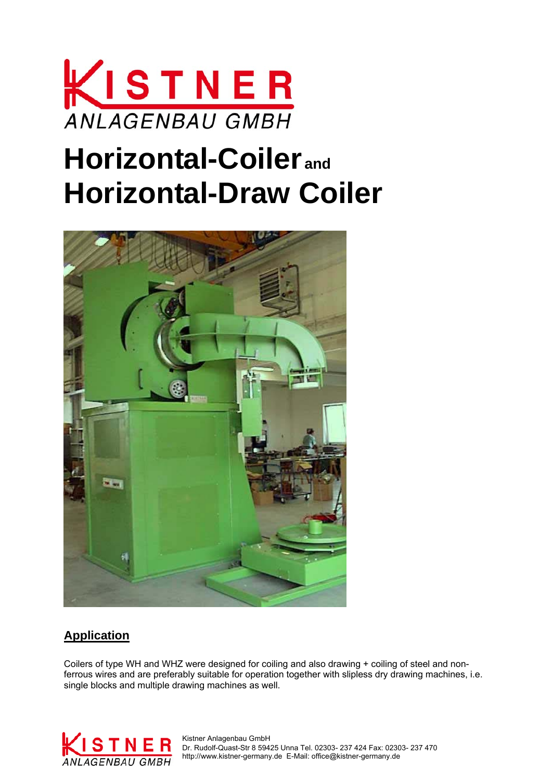

# **Horizontal-Coiler and Horizontal-Draw Coiler**



### **Application**

Coilers of type WH and WHZ were designed for coiling and also drawing + coiling of steel and nonferrous wires and are preferably suitable for operation together with slipless dry drawing machines, i.e. single blocks and multiple drawing machines as well.



 Dr. Rudolf-Quast-Str 8 59425 Unna Tel. 02303- 237 424 Fax: 02303- 237 470 ANLAGENBAU GMBH http://www.kistner-germany.de E-Mail: office@kistner-germany.de